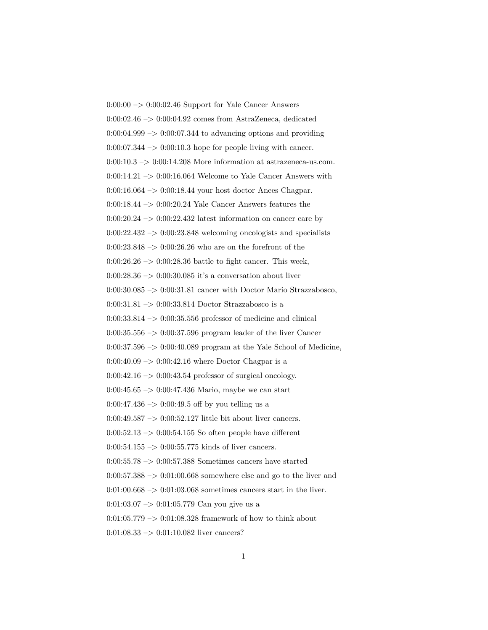$0:00:00 \rightarrow 0:00:02.46$  Support for Yale Cancer Answers 0:00:02.46 –> 0:00:04.92 comes from AstraZeneca, dedicated  $0:00:04.999 \rightarrow 0:00:07.344$  to advancing options and providing  $0:00:07.344 \rightarrow 0:00:10.3$  hope for people living with cancer.  $0:00:10.3 \rightarrow 0:00:14.208$  More information at astrazeneca-us.com.  $0:00:14.21 \rightarrow 0:00:16.064$  Welcome to Yale Cancer Answers with 0:00:16.064 –> 0:00:18.44 your host doctor Anees Chagpar. 0:00:18.44 –> 0:00:20.24 Yale Cancer Answers features the  $0:00:20.24 \rightarrow 0:00:22.432$  latest information on cancer care by  $0:00:22.432 \rightarrow 0:00:23.848$  welcoming oncologists and specialists  $0:00:23.848 \rightarrow 0:00:26.26$  who are on the forefront of the 0:00:26.26  $\rightarrow$  0:00:28.36 battle to fight cancer. This week,  $0:00:28.36 \rightarrow 0:00:30.085$  it's a conversation about liver  $0:00:30.085 \rightarrow 0:00:31.81$  cancer with Doctor Mario Strazzabosco, 0:00:31.81  $\mathord{\sim}$  0:00:33.814 Doctor Strazzabosco is a  $0:00:33.814 \rightarrow 0:00:35.556$  professor of medicine and clinical  $0:00:35.556 \rightarrow 0:00:37.596$  program leader of the liver Cancer  $0:00:37.596 \rightarrow 0:00:40.089$  program at the Yale School of Medicine,  $0:00:40.09 \rightarrow 0:00:42.16$  where Doctor Chagpar is a  $0:00:42.16 \rightarrow 0:00:43.54$  professor of surgical oncology. 0:00:45.65 –> 0:00:47.436 Mario, maybe we can start  $0:00:47.436 \rightarrow 0:00:49.5$  off by you telling us a 0:00:49.587 –> 0:00:52.127 little bit about liver cancers.  $0:00:52.13 \rightarrow 0:00:54.155$  So often people have different  $0:00:54.155 \rightarrow 0:00:55.775$  kinds of liver cancers.  $0:00:55.78 \rightarrow 0:00:57.388$  Sometimes cancers have started  $0:00:57.388 \rightarrow 0:01:00.668$  somewhere else and go to the liver and  $0:01:00.668 \rightarrow 0:01:03.068$  sometimes cancers start in the liver.  $0:01:03.07 \rightarrow 0:01:05.779$  Can you give us a  $0:01:05.779 \rightarrow 0:01:08.328$  framework of how to think about  $0:01:08.33 \rightarrow 0:01:10.082$  liver cancers?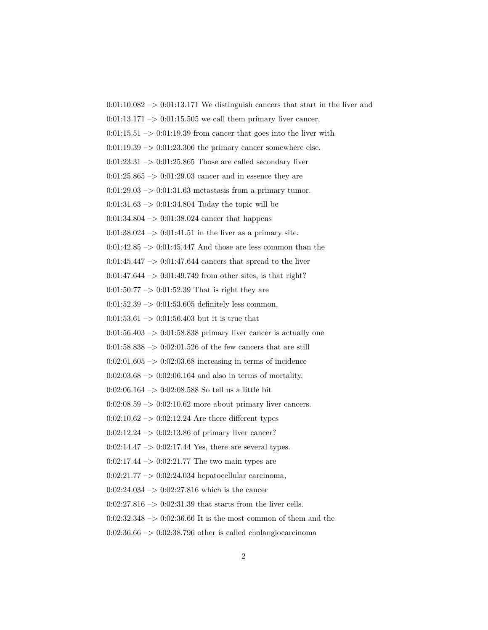$0:01:10.082 \rightarrow 0:01:13.171$  We distinguish cancers that start in the liver and  $0:01:13.171 \rightarrow 0:01:15.505$  we call them primary liver cancer,  $0:01:15.51 \rightarrow 0:01:19.39$  from cancer that goes into the liver with  $0:01:19.39 \rightarrow 0:01:23.306$  the primary cancer somewhere else.  $0:01:23.31 \rightarrow 0:01:25.865$  Those are called secondary liver  $0:01:25.865 \rightarrow 0:01:29.03$  cancer and in essence they are  $0:01:29.03 \rightarrow 0:01:31.63$  metastasis from a primary tumor. 0:01:31.63 –> 0:01:34.804 Today the topic will be 0:01:34.804 –> 0:01:38.024 cancer that happens  $0:01:38.024 \rightarrow 0:01:41.51$  in the liver as a primary site.  $0:01:42.85 \rightarrow 0:01:45.447$  And those are less common than the  $0:01:45.447 \rightarrow 0:01:47.644$  cancers that spread to the liver  $0:01:47.644 \rightarrow 0:01:49.749$  from other sites, is that right?  $0:01:50.77 \rightarrow 0:01:52.39$  That is right they are  $0:01:52.39 \rightarrow 0:01:53.605$  definitely less common,  $0:01:53.61 \rightarrow 0:01:56.403$  but it is true that  $0:01:56.403 \rightarrow 0:01:58.838$  primary liver cancer is actually one  $0:01:58.838 \rightarrow 0:02:01.526$  of the few cancers that are still  $0:02:01.605 \rightarrow 0:02:03.68$  increasing in terms of incidence  $0:02:03.68 \rightarrow 0:02:06.164$  and also in terms of mortality. 0:02:06.164 –> 0:02:08.588 So tell us a little bit  $0:02:08.59 \rightarrow 0:02:10.62$  more about primary liver cancers.  $0:02:10.62 \rightarrow 0:02:12.24$  Are there different types  $0:02:12.24 \rightarrow 0:02:13.86$  of primary liver cancer?  $0:02:14.47 \rightarrow 0:02:17.44$  Yes, there are several types.  $0:02:17.44 \rightarrow 0:02:21.77$  The two main types are  $0:02:21.77 \rightarrow 0:02:24.034$  hepatocellular carcinoma,  $0:02:24.034 \rightarrow 0:02:27.816$  which is the cancer  $0:02:27.816 \rightarrow 0:02:31.39$  that starts from the liver cells.  $0:02:32.348 \rightarrow 0:02:36.66$  It is the most common of them and the  $0:02:36.66 \rightarrow 0:02:38.796$  other is called cholangiocarcinoma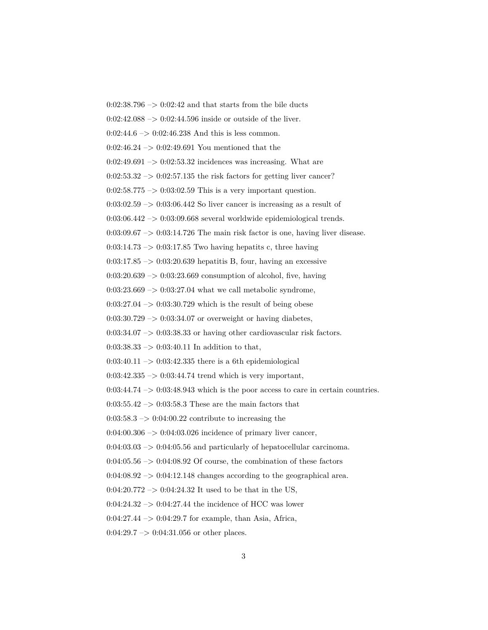$0:02:38.796 \rightarrow 0:02:42$  and that starts from the bile ducts  $0:02:42.088 \rightarrow 0:02:44.596$  inside or outside of the liver.  $0:02:44.6 \rightarrow 0:02:46.238$  And this is less common. 0:02:46.24 –> 0:02:49.691 You mentioned that the  $0:02:49.691 \rightarrow 0:02:53.32$  incidences was increasing. What are  $0:02:53.32 \rightarrow 0:02:57.135$  the risk factors for getting liver cancer?  $0:02:58.775 \rightarrow 0:03:02.59$  This is a very important question.  $0:03:02.59 \rightarrow 0:03:06.442$  So liver cancer is increasing as a result of  $0:03:06.442 \rightarrow 0:03:09.668$  several worldwide epidemiological trends.  $0:03:09.67 \rightarrow 0:03:14.726$  The main risk factor is one, having liver disease.  $0:03:14.73 \rightarrow 0:03:17.85$  Two having hepatits c, three having  $0:03:17.85 \rightarrow 0:03:20.639$  hepatitis B, four, having an excessive  $0:03:20.639 \rightarrow 0:03:23.669$  consumption of alcohol, five, having  $0:03:23.669 \rightarrow 0:03:27.04$  what we call metabolic syndrome,  $0:03:27.04 \rightarrow 0:03:30.729$  which is the result of being obese  $0:03:30.729 \rightarrow 0:03:34.07$  or overweight or having diabetes,  $0:03:34.07 \rightarrow 0:03:38.33$  or having other cardiovascular risk factors.  $0:03:38.33 \rightarrow 0:03:40.11$  In addition to that,  $0:03:40.11 \rightarrow 0:03:42.335$  there is a 6th epidemiological  $0:03:42.335 \rightarrow 0:03:44.74$  trend which is very important,  $0:03:44.74 \rightarrow 0:03:48.943$  which is the poor access to care in certain countries.  $0:03:55.42 \rightarrow 0:03:58.3$  These are the main factors that  $0:03:58.3 \rightarrow 0:04:00.22$  contribute to increasing the  $0.04:00.306 \rightarrow 0.04:03.026$  incidence of primary liver cancer,  $0.04:03.03 \rightarrow 0.04:05.56$  and particularly of hepatocellular carcinoma.  $0:04:05.56 \rightarrow 0:04:08.92$  Of course, the combination of these factors  $0:04:08.92 \rightarrow 0:04:12.148$  changes according to the geographical area.  $0:04:20.772 \rightarrow 0:04:24.32$  It used to be that in the US,  $0:04:24.32 \rightarrow 0:04:27.44$  the incidence of HCC was lower  $0:04:27.44 \rightarrow 0:04:29.7$  for example, than Asia, Africa,  $0:04:29.7 \rightarrow 0:04:31.056$  or other places.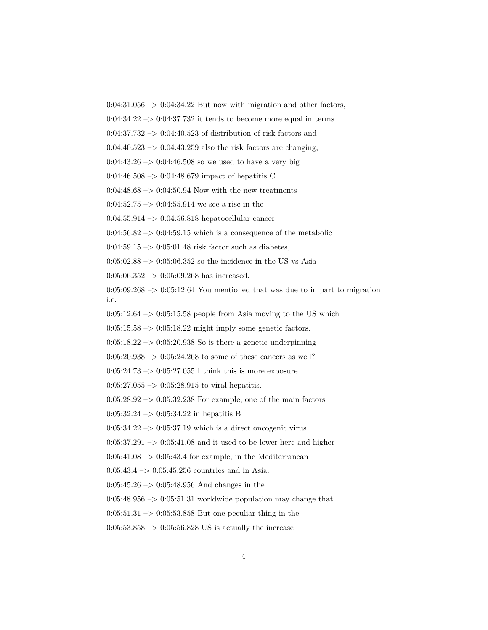$0:04:31.056 \rightarrow 0:04:34.22$  But now with migration and other factors,

 $0.04:34.22 \rightarrow 0.04:37.732$  it tends to become more equal in terms

 $0:04:37.732 \rightarrow 0:04:40.523$  of distribution of risk factors and

 $0:04:40.523 \rightarrow 0:04:43.259$  also the risk factors are changing,

 $0:04:43.26 \rightarrow 0:04:46.508$  so we used to have a very big

 $0.04:46.508 \rightarrow 0.04:48.679$  impact of hepatitis C.

 $0.04:48.68 \rightarrow 0.04:50.94$  Now with the new treatments

 $0:04:52.75 \rightarrow 0:04:55.914$  we see a rise in the

 $0:04:55.914 \rightarrow 0:04:56.818$  hepatocellular cancer

 $0.04:56.82 \rightarrow 0.04:59.15$  which is a consequence of the metabolic

 $0:04:59.15 \rightarrow 0:05:01.48$  risk factor such as diabetes,

 $0:05:02.88 \rightarrow 0:05:06.352$  so the incidence in the US vs Asia

 $0:05:06.352 \rightarrow 0:05:09.268$  has increased.

 $0:05:09.268 \rightarrow 0:05:12.64$  You mentioned that was due to in part to migration i.e.

 $0:05:12.64 \rightarrow 0:05:15.58$  people from Asia moving to the US which

 $0:05:15.58 \rightarrow 0:05:18.22$  might imply some genetic factors.

 $0:05:18.22 \rightarrow 0:05:20.938$  So is there a genetic underpinning

 $0:05:20.938 \rightarrow 0:05:24.268$  to some of these cancers as well?

0:05:24.73  $\rightarrow$  0:05:27.055 I think this is more exposure

 $0:05:27.055 \rightarrow 0:05:28.915$  to viral hepatitis.

 $0:05:28.92 \rightarrow 0:05:32.238$  For example, one of the main factors

 $0:05:32.24 \rightarrow 0:05:34.22$  in hepatitis B

 $0:05:34.22 \rightarrow 0:05:37.19$  which is a direct oncogenic virus

 $0:05:37.291 \rightarrow 0:05:41.08$  and it used to be lower here and higher

 $0:05:41.08 \rightarrow 0:05:43.4$  for example, in the Mediterranean

 $0:05:43.4 \rightarrow 0:05:45.256$  countries and in Asia.

 $0:05:45.26 \rightarrow 0:05:48.956$  And changes in the

 $0:05:48.956 \rightarrow 0:05:51.31$  worldwide population may change that.

 $0:05:51.31 \rightarrow 0:05:53.858$  But one peculiar thing in the

 $0:05:53.858 \rightarrow 0:05:56.828$  US is actually the increase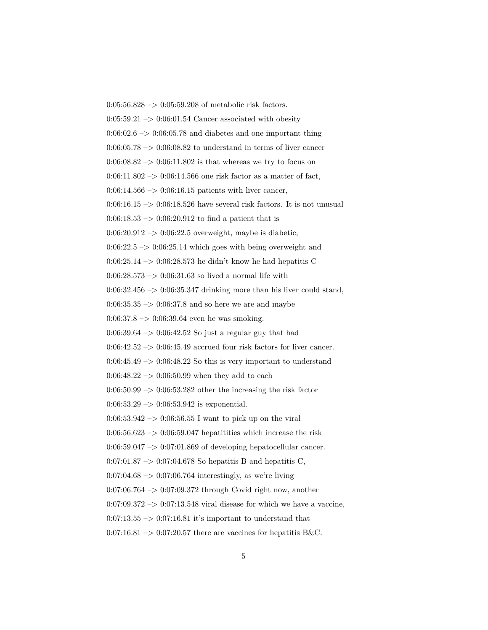$0:05:56.828 \rightarrow 0:05:59.208$  of metabolic risk factors.  $0:05:59.21 \rightarrow 0:06:01.54$  Cancer associated with obesity  $0:06:02.6 \rightarrow 0:06:05.78$  and diabetes and one important thing  $0.06:05.78 \rightarrow 0.06:08.82$  to understand in terms of liver cancer  $0.06:08.82 \rightarrow 0.06:11.802$  is that whereas we try to focus on 0:06:11.802 –> 0:06:14.566 one risk factor as a matter of fact,  $0:06:14.566 \rightarrow 0:06:16.15$  patients with liver cancer,  $0:06:16.15 \rightarrow 0:06:18.526$  have several risk factors. It is not unusual  $0:06:18.53 \rightarrow 0:06:20.912$  to find a patient that is  $0.06:20.912 \rightarrow 0.06:22.5$  overweight, maybe is diabetic,  $0.06:22.5 \rightarrow 0.06:25.14$  which goes with being overweight and 0:06:25.14 –> 0:06:28.573 he didn't know he had hepatitis C  $0:06:28.573 \rightarrow 0:06:31.63$  so lived a normal life with  $0:06:32.456 \rightarrow 0:06:35.347$  drinking more than his liver could stand,  $0:06:35.35 \rightarrow 0:06:37.8$  and so here we are and maybe  $0:06:37.8 \rightarrow 0:06:39.64$  even he was smoking.  $0:06:39.64 \rightarrow 0:06:42.52$  So just a regular guy that had  $0:06:42.52 \rightarrow 0:06:45.49$  accrued four risk factors for liver cancer.  $0:06:45.49 \rightarrow 0:06:48.22$  So this is very important to understand 0:06:48.22  $->$  0:06:50.99 when they add to each  $0.06:50.99 \rightarrow 0.06:53.282$  other the increasing the risk factor  $0:06:53.29 \rightarrow 0:06:53.942$  is exponential.  $0:06:53.942 \rightarrow 0:06:56.55$  I want to pick up on the viral  $0.06:56.623 \rightarrow 0.06:59.047$  hepatitities which increase the risk  $0.06:59.047 \rightarrow 0.07:01.869$  of developing hepatocellular cancer. 0:07:01.87  $\rightarrow$  0:07:04.678 So hepatitis B and hepatitis C,  $0.07:04.68 \rightarrow 0.07:06.764$  interestingly, as we're living  $0:07:06.764 \rightarrow 0:07:09.372$  through Covid right now, another  $0.07:09.372 \rightarrow 0.07:13.548$  viral disease for which we have a vaccine,  $0:07:13.55 \rightarrow 0:07:16.81$  it's important to understand that  $0:07:16.81 \rightarrow 0:07:20.57$  there are vaccines for hepatitis B&C.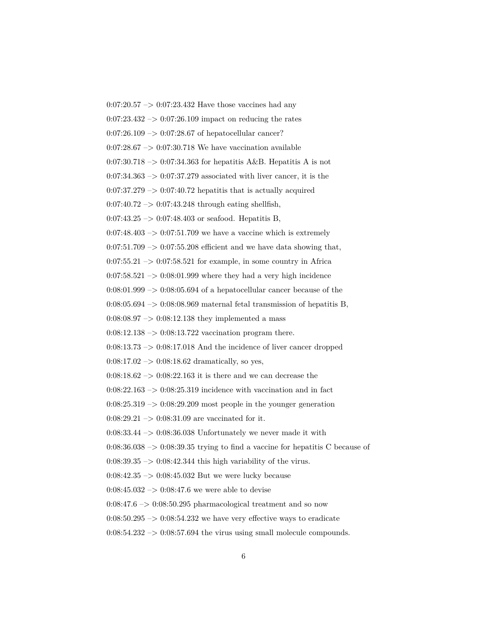$0:07:20.57 \rightarrow 0:07:23.432$  Have those vaccines had any  $0:07:23.432 \rightarrow 0:07:26.109$  impact on reducing the rates  $0:07:26.109 \rightarrow 0:07:28.67$  of hepatocellular cancer?  $0.07:28.67 \rightarrow 0.07:30.718$  We have vaccination available  $0.07:30.718 \rightarrow 0.07:34.363$  for hepatitis A&B. Hepatitis A is not  $0:07:34.363 \rightarrow 0:07:37.279$  associated with liver cancer, it is the  $0:07:37.279 \rightarrow 0:07:40.72$  hepatitis that is actually acquired  $0:07:40.72 \rightarrow 0:07:43.248$  through eating shellfish,  $0:07:43.25 \rightarrow 0:07:48.403$  or seafood. Hepatitis B,  $0:07:48.403 \rightarrow 0:07:51.709$  we have a vaccine which is extremely  $0:07:51.709 \rightarrow 0:07:55.208$  efficient and we have data showing that,  $0:07:55.21 \rightarrow 0:07:58.521$  for example, in some country in Africa  $0:07:58.521 \rightarrow 0:08:01.999$  where they had a very high incidence  $0:08:01.999 \rightarrow 0:08:05.694$  of a hepatocellular cancer because of the  $0:08:05.694 \rightarrow 0:08:08.969$  maternal fetal transmission of hepatitis B,  $0.08:08.97 \rightarrow 0.08:12.138$  they implemented a mass  $0:08:12.138 \rightarrow 0:08:13.722$  vaccination program there.  $0:08:13.73 \rightarrow 0:08:17.018$  And the incidence of liver cancer dropped  $0:08:17.02 \rightarrow 0:08:18.62$  dramatically, so yes,  $0:08:18.62 \rightarrow 0:08:22.163$  it is there and we can decrease the  $0:08:22.163 \rightarrow 0:08:25.319$  incidence with vaccination and in fact  $0:08:25.319 \rightarrow 0:08:29.209$  most people in the younger generation  $0:08:29.21 \rightarrow 0:08:31.09$  are vaccinated for it.  $0:08:33.44 \rightarrow 0:08:36.038$  Unfortunately we never made it with  $0:08:36.038 \rightarrow 0:08:39.35$  trying to find a vaccine for hepatitis C because of  $0:08:39.35 \rightarrow 0:08:42.344$  this high variability of the virus.  $0:08:42.35 \rightarrow 0:08:45.032$  But we were lucky because  $0:08:45.032 \rightarrow 0:08:47.6$  we were able to devise  $0:08:47.6 \rightarrow 0:08:50.295$  pharmacological treatment and so now  $0.08:50.295 \rightarrow 0.08:54.232$  we have very effective ways to eradicate  $0:08:54.232 \rightarrow 0:08:57.694$  the virus using small molecule compounds.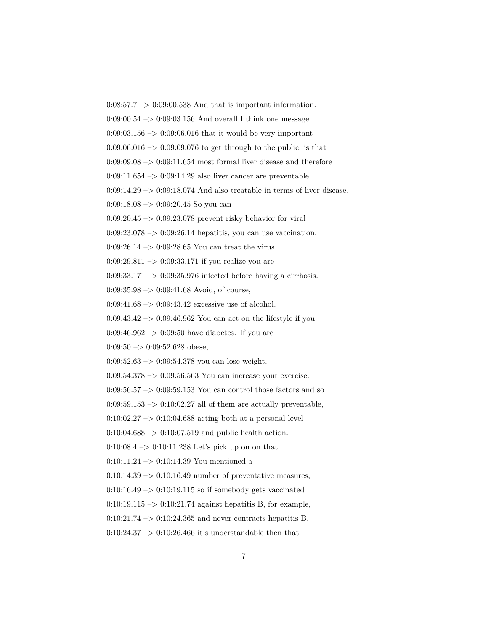0:08:57.7 –> 0:09:00.538 And that is important information.

 $0.09:00.54 \rightarrow 0.09:03.156$  And overall I think one message

 $0:09:03.156 \rightarrow 0:09:06.016$  that it would be very important

 $0.09:06.016 \rightarrow 0.09:09.076$  to get through to the public, is that

 $0:09:09.08 \rightarrow 0:09:11.654$  most formal liver disease and therefore

 $0:09:11.654 \rightarrow 0:09:14.29$  also liver cancer are preventable.

 $0:09:14.29 \rightarrow 0:09:18.074$  And also treatable in terms of liver disease.

 $0:09:18.08 \rightarrow 0:09:20.45$  So you can

0:09:20.45 –> 0:09:23.078 prevent risky behavior for viral

 $0:09:23.078 \rightarrow 0:09:26.14$  hepatitis, you can use vaccination.

0:09:26.14 –> 0:09:28.65 You can treat the virus

0:09:29.811 –> 0:09:33.171 if you realize you are

0:09:33.171 –> 0:09:35.976 infected before having a cirrhosis.

 $0:09:35.98 \rightarrow 0:09:41.68$  Avoid, of course,

 $0:09:41.68 \rightarrow 0:09:43.42$  excessive use of alcohol.

 $0:09:43.42 \rightarrow 0:09:46.962$  You can act on the lifestyle if you

 $0.09:46.962 \rightarrow 0.09:50$  have diabetes. If you are

 $0:09:50 \rightarrow 0:09:52.628$  obese,

 $0:09:52.63 \rightarrow 0:09:54.378$  you can lose weight.

0:09:54.378 –> 0:09:56.563 You can increase your exercise.

 $0:09:56.57 \rightarrow 0:09:59.153$  You can control those factors and so

 $0:09:59.153 \rightarrow 0:10:02.27$  all of them are actually preventable,

 $0:10:02.27 \rightarrow 0:10:04.688$  acting both at a personal level

 $0:10:04.688 \rightarrow 0:10:07.519$  and public health action.

 $0:10:08.4 \rightarrow 0:10:11.238$  Let's pick up on on that.

0:10:11.24  $\rightarrow$  0:10:14.39 You mentioned a

 $0:10:14.39 \rightarrow 0:10:16.49$  number of preventative measures,

 $0:10:16.49 \rightarrow 0:10:19.115$  so if somebody gets vaccinated

 $0:10:19.115 \rightarrow 0:10:21.74$  against hepatitis B, for example,

 $0:10:21.74 \rightarrow 0:10:24.365$  and never contracts hepatitis B,

 $0:10:24.37 \rightarrow 0:10:26.466$  it's understandable then that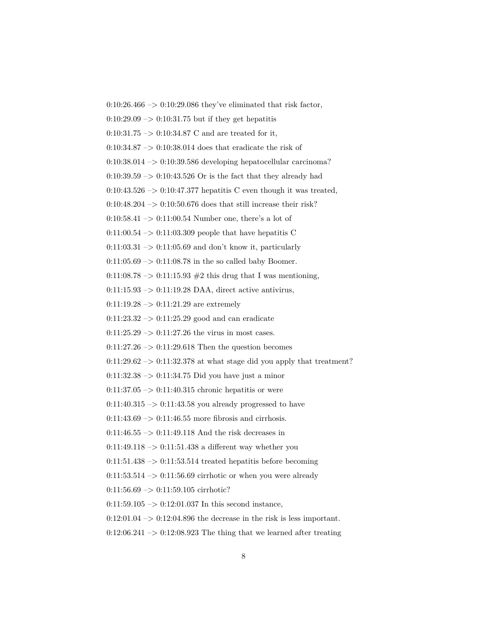$0:10:26.466 \rightarrow 0:10:29.086$  they've eliminated that risk factor,  $0:10:29.09 \rightarrow 0:10:31.75$  but if they get hepatitis  $0:10:31.75 \rightarrow 0:10:34.87$  C and are treated for it,  $0:10:34.87 \rightarrow 0:10:38.014$  does that eradicate the risk of  $0:10:38.014 \rightarrow 0:10:39.586$  developing hepatocellular carcinoma?  $0:10:39.59 \rightarrow 0:10:43.526$  Or is the fact that they already had  $0:10:43.526 \rightarrow 0:10:47.377$  hepatitis C even though it was treated,  $0:10:48.204 \rightarrow 0:10:50.676$  does that still increase their risk? 0:10:58.41  $\rightarrow$  0:11:00.54 Number one, there's a lot of 0:11:00.54  $\rightarrow$  0:11:03.309 people that have hepatitis C  $0:11:03.31 \rightarrow 0:11:05.69$  and don't know it, particularly  $0:11:05.69 \rightarrow 0:11:08.78$  in the so called baby Boomer. 0:11:08.78  $\rightarrow$  0:11:15.93  $\#2$  this drug that I was mentioning,  $0:11:15.93 \rightarrow 0:11:19.28 \text{ DAA}$ , direct active antivirus,  $0:11:19.28 \rightarrow 0:11:21.29$  are extremely  $0:11:23.32 \rightarrow 0:11:25.29$  good and can eradicate  $0:11:25.29 \rightarrow 0:11:27.26$  the virus in most cases.  $0:11:27.26 \rightarrow 0:11:29.618$  Then the question becomes  $0:11:29.62 \rightarrow 0:11:32.378$  at what stage did you apply that treatment?  $0:11:32.38 \rightarrow 0:11:34.75$  Did you have just a minor  $0:11:37.05 \rightarrow 0:11:40.315$  chronic hepatitis or were  $0:11:40.315 \rightarrow 0:11:43.58$  you already progressed to have  $0:11:43.69 \rightarrow 0:11:46.55$  more fibrosis and cirrhosis.  $0:11:46.55 \rightarrow 0:11:49.118$  And the risk decreases in  $0:11:49.118 \rightarrow 0:11:51.438$  a different way whether you  $0:11:51.438 \rightarrow 0:11:53.514$  treated hepatitis before becoming  $0:11:53.514 \rightarrow 0:11:56.69$  cirrhotic or when you were already  $0:11:56.69 \rightarrow 0:11:59.105$  cirrhotic?  $0:11:59.105 \rightarrow 0:12:01.037$  In this second instance,  $0:12:01.04 \rightarrow 0:12:04.896$  the decrease in the risk is less important.  $0:12:06.241 \rightarrow 0:12:08.923$  The thing that we learned after treating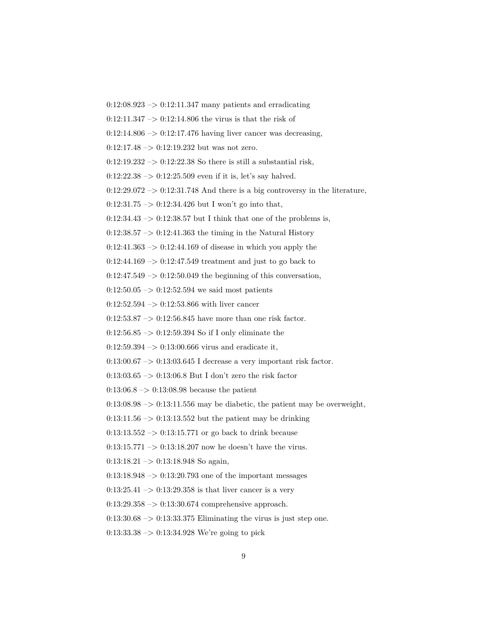$0:12:08.923 \rightarrow 0:12:11.347$  many patients and erradicating  $0:12:11.347 \rightarrow 0:12:14.806$  the virus is that the risk of  $0:12:14.806 \rightarrow 0:12:17.476$  having liver cancer was decreasing,  $0:12:17.48 \rightarrow 0:12:19.232$  but was not zero.  $0:12:19.232 \rightarrow 0:12:22.38$  So there is still a substantial risk,  $0:12:22.38 \rightarrow 0:12:25.509$  even if it is, let's say halved.  $0:12:29.072 \rightarrow 0:12:31.748$  And there is a big controversy in the literature,  $0:12:31.75 \rightarrow 0:12:34.426$  but I won't go into that,  $0:12:34.43 \rightarrow 0:12:38.57$  but I think that one of the problems is,  $0:12:38.57 \rightarrow 0:12:41.363$  the timing in the Natural History  $0:12:41.363 \rightarrow 0:12:44.169$  of disease in which you apply the  $0:12:44.169 \rightarrow 0:12:47.549$  treatment and just to go back to  $0:12:47.549 \rightarrow 0:12:50.049$  the beginning of this conversation,  $0:12:50.05 \rightarrow 0:12:52.594$  we said most patients  $0:12:52.594 \rightarrow 0:12:53.866$  with liver cancer  $0:12:53.87 \rightarrow 0:12:56.845$  have more than one risk factor.  $0:12:56.85 \rightarrow 0:12:59.394$  So if I only eliminate the  $0:12:59.394 \rightarrow 0:13:00.666$  virus and eradicate it,  $0:13:00.67 \rightarrow 0:13:03.645$  I decrease a very important risk factor. 0:13:03.65  $\mathord{\sim}$  0:13:06.8 But I don't zero the risk factor  $0:13:06.8 \rightarrow 0:13:08.98$  because the patient  $0:13:08.98 \rightarrow 0:13:11.556$  may be diabetic, the patient may be overweight,  $0:13:11.56 \rightarrow 0:13:13.552$  but the patient may be drinking  $0:13:13.552 \rightarrow 0:13:15.771$  or go back to drink because 0:13:15.771  $\rightarrow$  0:13:18.207 now he doesn't have the virus.  $0:13:18.21 \rightarrow 0:13:18.948$  So again,  $0:13:18.948 \rightarrow 0:13:20.793$  one of the important messages

 $0:13:25.41 \rightarrow 0:13:29.358$  is that liver cancer is a very

 $0:13:29.358 \rightarrow 0:13:30.674$  comprehensive approach.

 $0:13:30.68 \rightarrow 0:13:33.375$  Eliminating the virus is just step one.

 $0:13:33.38 \rightarrow 0:13:34.928$  We're going to pick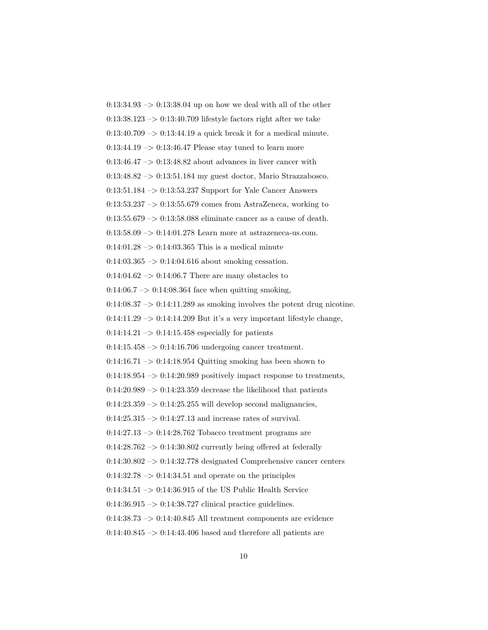$0:13:34.93 \rightarrow 0:13:38.04$  up on how we deal with all of the other  $0.13:38.123 \rightarrow 0.13:40.709$  lifestyle factors right after we take  $0:13:40.709 \rightarrow 0:13:44.19$  a quick break it for a medical minute.  $0:13:44.19 \rightarrow 0:13:46.47$  Please stay tuned to learn more  $0:13:46.47 \rightarrow 0:13:48.82$  about advances in liver cancer with 0:13:48.82 –> 0:13:51.184 my guest doctor, Mario Strazzabosco. 0:13:51.184 –> 0:13:53.237 Support for Yale Cancer Answers  $0:13:53.237 \rightarrow 0:13:55.679$  comes from AstraZeneca, working to  $0:13:55.679 \rightarrow 0:13:58.088$  eliminate cancer as a cause of death. 0:13:58.09 –> 0:14:01.278 Learn more at astrazeneca-us.com.  $0:14:01.28 \rightarrow 0:14:03.365$  This is a medical minute 0:14:03.365 –> 0:14:04.616 about smoking cessation.  $0:14:04.62 \rightarrow 0:14:06.7$  There are many obstacles to  $0.14:06.7 \rightarrow 0.14:08.364$  face when quitting smoking,  $0:14:08.37 \rightarrow 0:14:11.289$  as smoking involves the potent drug nicotine.  $0:14:11.29 \rightarrow 0:14:14.209$  But it's a very important lifestyle change,  $0:14:14.21 \rightarrow 0:14:15.458$  especially for patients  $0:14:15.458 \rightarrow 0:14:16.706$  undergoing cancer treatment.  $0:14:16.71 \rightarrow 0:14:18.954$  Quitting smoking has been shown to  $0:14:18.954 \rightarrow 0:14:20.989$  positively impact response to treatments,  $0:14:20.989 \rightarrow 0:14:23.359$  decrease the likelihood that patients  $0:14:23.359 \rightarrow 0:14:25.255$  will develop second malignancies,  $0:14:25.315 \rightarrow 0:14:27.13$  and increase rates of survival.  $0:14:27.13 \rightarrow 0:14:28.762$  Tobacco treatment programs are  $0.14:28.762 \rightarrow 0.14:30.802$  currently being offered at federally  $0:14:30.802 \rightarrow 0:14:32.778$  designated Comprehensive cancer centers  $0.14:32.78 \rightarrow 0.14:34.51$  and operate on the principles  $0:14:34.51 \rightarrow 0:14:36.915$  of the US Public Health Service  $0.14:36.915 \rightarrow 0.14:38.727$  clinical practice guidelines.  $0:14:38.73 \rightarrow 0:14:40.845$  All treatment components are evidence  $0:14:40.845 \rightarrow 0:14:43.406$  based and therefore all patients are

10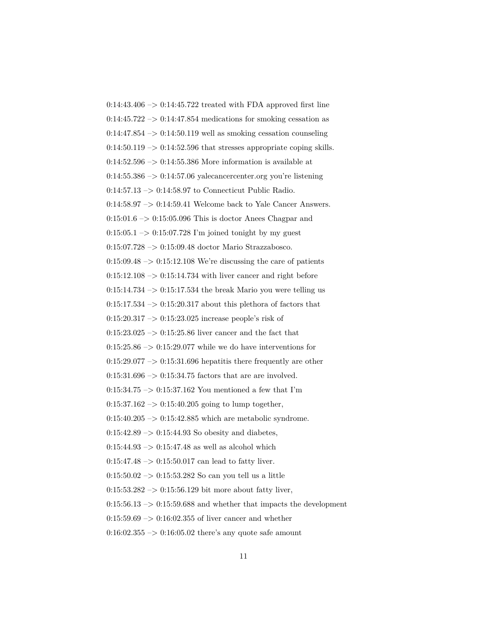$0:14:43.406 \rightarrow 0:14:45.722$  treated with FDA approved first line  $0.14:45.722 \rightarrow 0.14:47.854$  medications for smoking cessation as  $0:14:47.854 \rightarrow 0:14:50.119$  well as smoking cessation counseling  $0:14:50.119 \rightarrow 0:14:52.596$  that stresses appropriate coping skills.  $0:14:52.596 \rightarrow 0:14:55.386$  More information is available at  $0.14:55.386 \rightarrow 0.14:57.06$  yalecancercenter.org you're listening 0:14:57.13 –> 0:14:58.97 to Connecticut Public Radio. 0:14:58.97 –> 0:14:59.41 Welcome back to Yale Cancer Answers.  $0:15:01.6 \rightarrow 0:15:05.096$  This is doctor Anees Chagpar and  $0:15:05.1 \rightarrow 0:15:07.728$  I'm joined tonight by my guest 0:15:07.728 –> 0:15:09.48 doctor Mario Strazzabosco.  $0:15:09.48 \rightarrow 0:15:12.108$  We're discussing the care of patients  $0:15:12.108 \rightarrow 0:15:14.734$  with liver cancer and right before  $0:15:14.734 \rightarrow 0:15:17.534$  the break Mario you were telling us  $0:15:17.534 \rightarrow 0:15:20.317$  about this plethora of factors that  $0:15:20.317 \rightarrow 0:15:23.025$  increase people's risk of 0:15:23.025 –> 0:15:25.86 liver cancer and the fact that  $0:15:25.86 \rightarrow 0:15:29.077$  while we do have interventions for  $0:15:29.077 \rightarrow 0:15:31.696$  hepatitis there frequently are other  $0:15:31.696 \rightarrow 0:15:34.75$  factors that are are involved.  $0:15:34.75\ensuremath{\rightarrow} 0:15:37.162$  You mentioned a few that I'm  $0:15:37.162 \rightarrow 0:15:40.205$  going to lump together,  $0:15:40.205 \rightarrow 0:15:42.885$  which are metabolic syndrome.  $0:15:42.89 \rightarrow 0:15:44.93$  So obesity and diabetes,  $0:15:44.93 \rightarrow 0:15:47.48$  as well as alcohol which  $0:15:47.48 \rightarrow 0:15:50.017$  can lead to fatty liver.  $0:15:50.02 \rightarrow 0:15:53.282$  So can you tell us a little  $0:15:53.282 \rightarrow 0:15:56.129$  bit more about fatty liver,  $0:15:56.13 \rightarrow 0:15:59.688$  and whether that impacts the development  $0:15:59.69 \rightarrow 0:16:02.355$  of liver cancer and whether  $0:16:02.355 \rightarrow 0:16:05.02$  there's any quote safe amount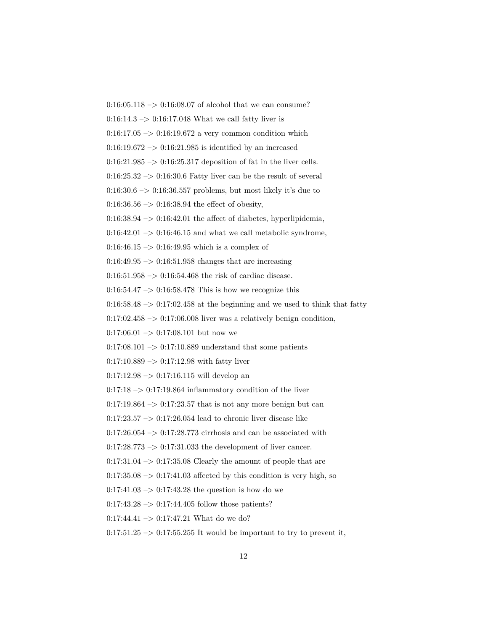$0:16:05.118 \rightarrow 0:16:08.07$  of alcohol that we can consume?

 $0:16:14.3 \rightarrow 0:16:17.048$  What we call fatty liver is

 $0:16:17.05 \rightarrow 0:16:19.672$  a very common condition which

 $0:16:19.672 \rightarrow 0:16:21.985$  is identified by an increased

 $0:16:21.985 \rightarrow 0:16:25.317$  deposition of fat in the liver cells.

 $0.16:25.32 \rightarrow 0.16:30.6$  Fatty liver can be the result of several

 $0:16:30.6 \rightarrow 0:16:36.557$  problems, but most likely it's due to

 $0:16:36.56 \rightarrow 0:16:38.94$  the effect of obesity,

 $0:16:38.94 \rightarrow 0:16:42.01$  the affect of diabetes, hyperlipidemia,

 $0:16:42.01 \rightarrow 0:16:46.15$  and what we call metabolic syndrome,

 $0:16:46.15 \rightarrow 0:16:49.95$  which is a complex of

 $0:16:49.95 \rightarrow 0:16:51.958$  changes that are increasing

0:16:51.958  $\rightarrow$  0:16:54.468 the risk of cardiac disease.

 $0.16:54.47 \rightarrow 0.16:58.478$  This is how we recognize this

 $0:16:58.48 \rightarrow 0:17:02.458$  at the beginning and we used to think that fatty

 $0:17:02.458 \rightarrow 0:17:06.008$  liver was a relatively benign condition,

 $0:17:06.01 \rightarrow 0:17:08.101$  but now we

 $0:17:08.101 \rightarrow 0:17:10.889$  understand that some patients

 $0:17:10.889 \rightarrow 0:17:12.98$  with fatty liver

0:17:12.98 –> 0:17:16.115 will develop an

 $0:17:18 \rightarrow 0:17:19.864$  inflammatory condition of the liver

 $0.17:19.864 \rightarrow 0.17:23.57$  that is not any more benign but can

 $0.17:23.57 \rightarrow 0.17:26.054$  lead to chronic liver disease like

 $0:17:26.054 \rightarrow 0:17:28.773$  cirrhosis and can be associated with

 $0:17:28.773 \rightarrow 0:17:31.033$  the development of liver cancer.

 $0:17:31.04 \rightarrow 0:17:35.08$  Clearly the amount of people that are

 $0:17:35.08 \rightarrow 0:17:41.03$  affected by this condition is very high, so

 $0:17:41.03 \rightarrow 0:17:43.28$  the question is how do we

 $0:17:43.28 \rightarrow 0:17:44.405$  follow those patients?

 $0:17:44.41 \rightarrow 0:17:47.21$  What do we do?

 $0:17:51.25 \rightarrow 0:17:55.255$  It would be important to try to prevent it,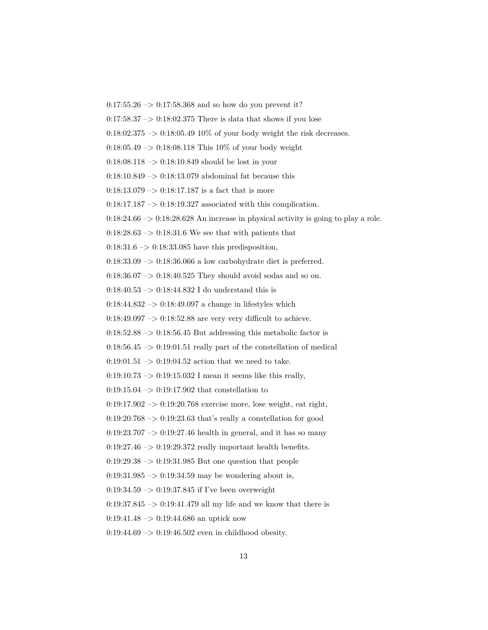$0:17:55.26 \rightarrow 0:17:58.368$  and so how do you prevent it?

 $0.17:58.37 \rightarrow 0.18:02.375$  There is data that shows if you lose

 $0:18:02.375 \rightarrow 0:18:05.4910\%$  of your body weight the risk decreases.

 $0.18:05.49 \rightarrow 0.18:08.118$  This 10% of your body weight

 $0:18:08.118 \rightarrow 0:18:10.849$  should be lost in your

0:18:10.849 –> 0:18:13.079 abdominal fat because this

 $0:18:13.079 \rightarrow 0:18:17.187$  is a fact that is more

 $0:18:17.187 \rightarrow 0:18:19.327$  associated with this complication.

 $0:18:24.66 \rightarrow 0:18:28.628$  An increase in physical activity is going to play a role.

 $0:18:28.63 \rightarrow 0:18:31.6$  We see that with patients that

 $0:18:31.6 \rightarrow 0:18:33.085$  have this predisposition,

0:18:33.09 –> 0:18:36.066 a low carbohydrate diet is preferred.

0:18:36.07 –> 0:18:40.525 They should avoid sodas and so on.

 $0.18{:}40.53\ensuremath{\rightarrow} 0.18{:}44.832$  I do understand this is

 $0:18:44.832 \rightarrow 0:18:49.097$  a change in lifestyles which

 $0:18:49.097 \rightarrow 0:18:52.88$  are very very difficult to achieve.

 $0:18:52.88 \rightarrow 0:18:56.45$  But addressing this metabolic factor is

 $0:18:56.45 \rightarrow 0:19:01.51$  really part of the constellation of medical

 $0:19:01.51 \rightarrow 0:19:04.52$  action that we need to take.

 $0:19:10.73 \rightarrow 0:19:15.032$  I mean it seems like this really,

0:19:15.04  $\rightarrow$  0:19:17.902 that constellation to

 $0.19:17.902 \rightarrow 0.19:20.768$  exercise more, lose weight, eat right,

 $0:19:20.768 \rightarrow 0:19:23.63$  that's really a constellation for good

 $0:19:23.707 \rightarrow 0:19:27.46$  health in general, and it has so many

 $0:19:27.46 \rightarrow 0:19:29.372$  really important health benefits.

 $0:19:29.38 \rightarrow 0:19:31.985$  But one question that people

 $0.19:31.985 \rightarrow 0.19:34.59$  may be wondering about is,

 $0:19:34.59 \rightarrow 0:19:37.845$  if I've been overweight

 $0:19:37.845 \rightarrow 0:19:41.479$  all my life and we know that there is

 $0:19:41.48 \rightarrow 0:19:44.686$  an uptick now

 $0:19:44.69 \rightarrow 0:19:46.502$  even in childhood obesity.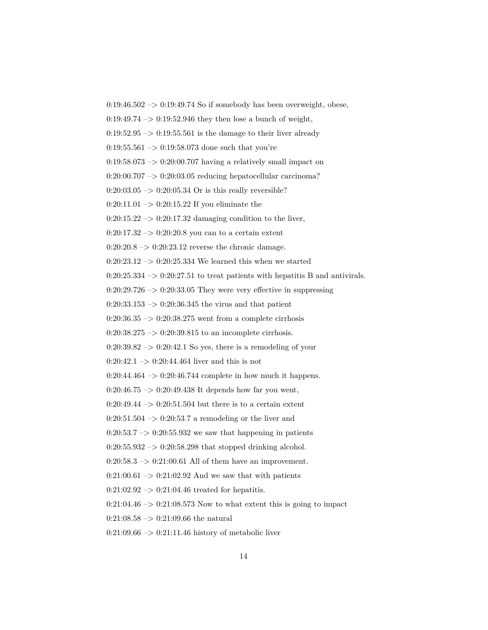$0:19:46.502 \rightarrow 0:19:49.74$  So if somebody has been overweight, obese,

 $0:19:49.74 \rightarrow 0:19:52.946$  they then lose a bunch of weight,

 $0:19:52.95 \rightarrow 0:19:55.561$  is the damage to their liver already

 $0:19:55.561 \rightarrow 0:19:58.073$  done such that you're

 $0:19:58.073 \rightarrow 0:20:00.707$  having a relatively small impact on

 $0:20:00.707 \rightarrow 0:20:03.05$  reducing hepatocellular carcinoma?

 $0:20:03.05 \to 0:20:05.34$  Or is this really reversible?

 $0:20:11.01 \rightarrow 0:20:15.22$  If you eliminate the

 $0:20:15.22 \rightarrow 0:20:17.32$  damaging condition to the liver,

 $0:20:17.32 \rightarrow 0:20:20.8$  you can to a certain extent

 $0:20:20.8 \rightarrow 0:20:23.12$  reverse the chronic damage.

0:20:23.12  $\rightarrow$  0:20:25.334 We learned this when we started

 $0:20:25.334 \rightarrow 0:20:27.51$  to treat patients with hepatitis B and antivirals.

 $0:20:29.726 \rightarrow 0:20:33.05$  They were very effective in suppressing

 $0:20:33.153 \rightarrow 0:20:36.345$  the virus and that patient

 $0:20:36.35 \rightarrow 0:20:38.275$  went from a complete cirrhosis

 $0:20:38.275 \rightarrow 0:20:39.815$  to an incomplete cirrhosis.

 $0:20:39.82 \rightarrow 0:20:42.1$  So yes, there is a remodeling of your

 $0:20:42.1 \rightarrow 0:20:44.464$  liver and this is not

 $0:20:44.464 \rightarrow 0:20:46.744$  complete in how much it happens.

 $0:20:46.75 \rightarrow 0:20:49.438$  It depends how far you went,

 $0:20:49.44 \rightarrow 0:20:51.504$  but there is to a certain extent

 $0:20:51.504 \rightarrow 0:20:53.7$  a remodeling or the liver and

 $0:20:53.7 \rightarrow 0:20:55.932$  we saw that happening in patients

 $0:20:55.932 \rightarrow 0:20:58.298$  that stopped drinking alcohol.

 $0:20:58.3 \rightarrow 0:21:00.61$  All of them have an improvement.

 $0:21:00.61 \rightarrow 0:21:02.92$  And we saw that with patients

 $0:21:02.92 \rightarrow 0:21:04.46$  treated for hepatitis.

 $0:21:04.46 \rightarrow 0:21:08.573$  Now to what extent this is going to impact

 $0:21:08.58 \rightarrow 0:21:09.66$  the natural

 $0:21:09.66 \rightarrow 0:21:11.46$  history of metabolic liver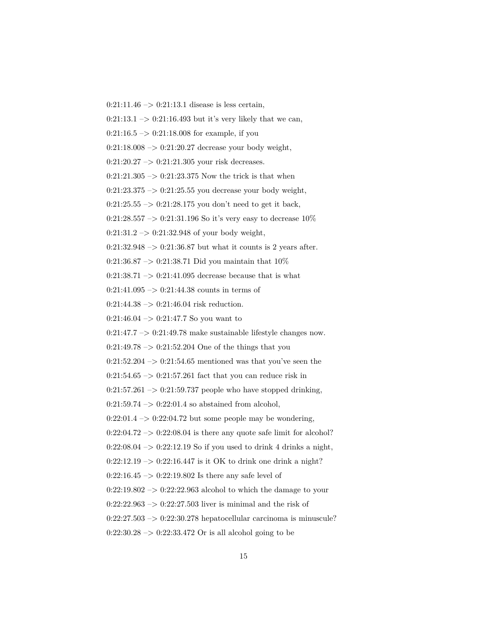$0:21:11.46 \rightarrow 0:21:13.1$  disease is less certain,

 $0:21:13.1 \rightarrow 0:21:16.493$  but it's very likely that we can,

 $0:21:16.5 \rightarrow 0:21:18.008$  for example, if you

 $0:21:18.008 \rightarrow 0:21:20.27$  decrease your body weight,

 $0:21:20.27 \rightarrow 0:21:21.305$  your risk decreases.

 $0:21:21.305 \rightarrow 0:21:23.375$  Now the trick is that when

 $0:21:23.375 \rightarrow 0:21:25.55$  you decrease your body weight,

 $0:21:25.55 \rightarrow 0:21:28.175$  you don't need to get it back,

0:21:28.557 –> 0:21:31.196 So it's very easy to decrease  $10\%$ 

 $0:21:31.2 \rightarrow 0:21:32.948$  of your body weight,

 $0:21:32.948 \rightarrow 0:21:36.87$  but what it counts is 2 years after.

0:21:36.87  $\rightarrow$  0:21:38.71 Did you maintain that 10%

0:21:38.71  $\rightarrow$  0:21:41.095 decrease because that is what

 $0:21:41.095 \rightarrow 0:21:44.38$  counts in terms of

 $0:21:44.38 \rightarrow 0:21:46.04$  risk reduction.

 $0:21:46.04 \rightarrow 0:21:47.7$  So you want to

 $0:21:47.7 \rightarrow 0:21:49.78$  make sustainable lifestyle changes now.

 $0:21:49.78 \rightarrow 0:21:52.204$  One of the things that you

 $0:21:52.204 \rightarrow 0:21:54.65$  mentioned was that you've seen the

 $0:21:54.65 \rightarrow 0:21:57.261$  fact that you can reduce risk in

 $0:21:57.261 \rightarrow 0:21:59.737$  people who have stopped drinking,

 $0:21:59.74 \rightarrow 0:22:01.4$  so abstained from alcohol,

0:22:01.4  $\rightarrow$  0:22:04.72 but some people may be wondering,

 $0:22:04.72 \rightarrow 0:22:08.04$  is there any quote safe limit for alcohol?

 $0:22:08.04 \rightarrow 0:22:12.19$  So if you used to drink 4 drinks a night,

 $0:22:12.19 \rightarrow 0:22:16.447$  is it OK to drink one drink a night?

 $0:22:16.45 \rightarrow 0:22:19.802$  Is there any safe level of

 $0:22:19.802 \rightarrow 0:22:22.963$  alcohol to which the damage to your

 $0:22:22.963 \rightarrow 0:22:27.503$  liver is minimal and the risk of

 $0:22:27.503 \rightarrow 0:22:30.278$  hepatocellular carcinoma is minuscule?

 $0:22:30.28 \rightarrow 0:22:33.472$  Or is all alcohol going to be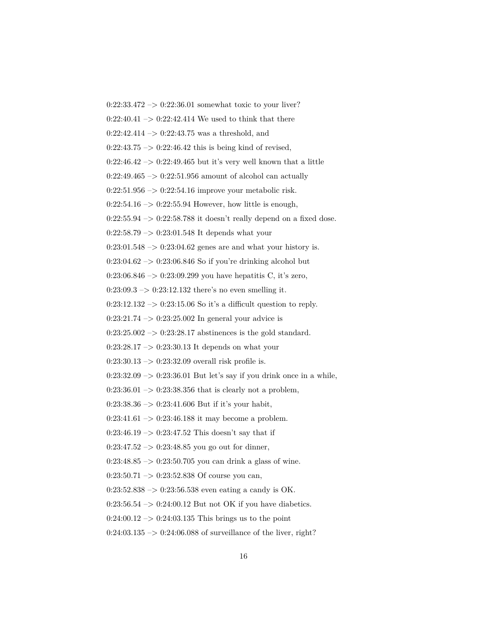0:22:33.472 –> 0:22:36.01 somewhat toxic to your liver?  $0:22:40.41 \rightarrow 0:22:42.414$  We used to think that there  $0:22:42.414 \rightarrow 0:22:43.75$  was a threshold, and  $0:22:43.75 \rightarrow 0:22:46.42$  this is being kind of revised,  $0:22:46.42 \rightarrow 0:22:49.465$  but it's very well known that a little  $0:22:49.465 \rightarrow 0:22:51.956$  amount of alcohol can actually  $0:22:51.956 \rightarrow 0:22:54.16$  improve your metabolic risk.  $0:22:54.16 \rightarrow 0:22:55.94$  However, how little is enough,  $0:22:55.94 \rightarrow 0:22:58.788$  it doesn't really depend on a fixed dose.  $0:22:58.79 \rightarrow 0:23:01.548$  It depends what your  $0:23:01.548 \rightarrow 0:23:04.62$  genes are and what your history is. 0:23:04.62 –> 0:23:06.846 So if you're drinking alcohol but 0:23:06.846 –> 0:23:09.299 you have hepatitis C, it's zero,  $0:23:09.3 \to 0:23:12.132$  there's no even smelling it.  $0:23:12.132 \rightarrow 0:23:15.06$  So it's a difficult question to reply.  $0:23:21.74 \rightarrow 0:23:25.002$  In general your advice is  $0:23:25.002 \rightarrow 0:23:28.17$  abstinences is the gold standard.  $0:23:28.17 \rightarrow 0:23:30.13$  It depends on what your  $0:23:30.13 \rightarrow 0:23:32.09$  overall risk profile is.  $0:23:32.09 \rightarrow 0:23:36.01$  But let's say if you drink once in a while,  $0:23:36.01 \rightarrow 0:23:38.356$  that is clearly not a problem,  $0:23:38.36 \rightarrow 0:23:41.606$  But if it's your habit,  $0:23:41.61 \rightarrow 0:23:46.188$  it may become a problem.  $0:23:46.19 \rightarrow 0:23:47.52$  This doesn't say that if  $0:23:47.52 \rightarrow 0:23:48.85$  you go out for dinner,  $0:23:48.85 \rightarrow 0:23:50.705$  you can drink a glass of wine.  $0:23:50.71 \rightarrow 0:23:52.838$  Of course you can,  $0:23:52.838 \rightarrow 0:23:56.538$  even eating a candy is OK.  $0:23:56.54 \rightarrow 0:24:00.12$  But not OK if you have diabetics.  $0:24:00.12 \rightarrow 0:24:03.135$  This brings us to the point  $0:24:03.135 \rightarrow 0:24:06.088$  of surveillance of the liver, right?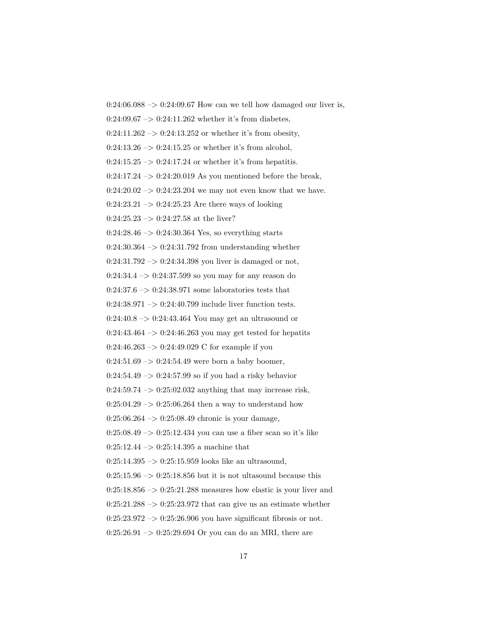$0:24:06.088 \rightarrow 0:24:09.67$  How can we tell how damaged our liver is,  $0:24:09.67 \rightarrow 0:24:11.262$  whether it's from diabetes,  $0:24:11.262 \rightarrow 0:24:13.252$  or whether it's from obesity,  $0:24:13.26 \rightarrow 0:24:15.25$  or whether it's from alcohol,  $0:24:15.25 \rightarrow 0:24:17.24$  or whether it's from hepatitis.  $0:24:17.24 \rightarrow 0:24:20.019$  As you mentioned before the break,  $0:24:20.02 \rightarrow 0:24:23.204$  we may not even know that we have.  $0:24:23.21 \rightarrow 0:24:25.23$  Are there ways of looking  $0:24:25.23 \rightarrow 0:24:27.58$  at the liver?  $0:24:28.46 \rightarrow 0:24:30.364$  Yes, so everything starts  $0:24:30.364 \rightarrow 0:24:31.792$  from understanding whether  $0:24:31.792 \rightarrow 0:24:34.398$  you liver is damaged or not, 0:24:34.4 –> 0:24:37.599 so you may for any reason do  $0.24{:}37.6\ensuremath{\rightarrow} 0.24{:}38.971$  some laboratories tests that  $0:24:38.971 \rightarrow 0:24:40.799$  include liver function tests.  $0:24:40.8 \rightarrow 0:24:43.464$  You may get an ultrasound or  $0:24:43.464 \rightarrow 0:24:46.263$  you may get tested for hepatits  $0:24:46.263 \rightarrow 0:24:49.029$  C for example if you  $0:24:51.69 \rightarrow 0:24:54.49$  were born a baby boomer,  $0:24:54.49 \rightarrow 0:24:57.99$  so if you had a risky behavior  $0:24:59.74 \rightarrow 0:25:02.032$  anything that may increase risk,  $0:25:04.29 \rightarrow 0:25:06.264$  then a way to understand how 0:25:06.264 –> 0:25:08.49 chronic is your damage,  $0:25:08.49 \rightarrow 0:25:12.434$  you can use a fiber scan so it's like  $0:25:12.44 \rightarrow 0:25:14.395$  a machine that  $0:25:14.395 \rightarrow 0:25:15.959$  looks like an ultrasound,  $0:25:15.96 \rightarrow 0:25:18.856$  but it is not ultasound because this  $0:25:18.856 \rightarrow 0:25:21.288$  measures how elastic is your liver and  $0:25:21.288 \rightarrow 0:25:23.972$  that can give us an estimate whether  $0:25:23.972 \rightarrow 0:25:26.906$  you have significant fibrosis or not.

 $0:25:26.91 \rightarrow 0:25:29.694$  Or you can do an MRI, there are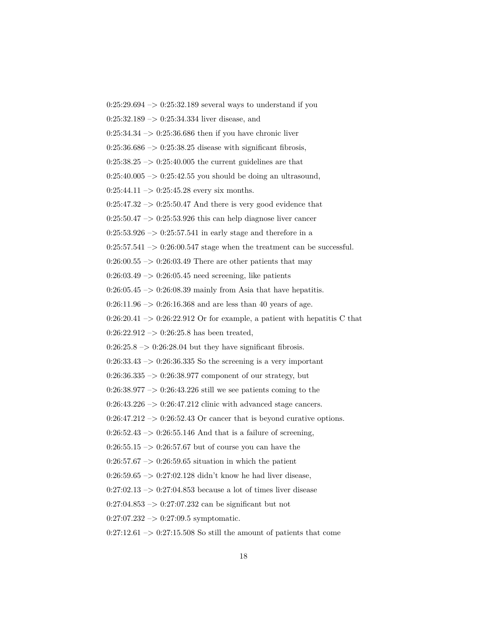$0:25:29.694 \rightarrow 0:25:32.189$  several ways to understand if you  $0:25:32.189 \rightarrow 0:25:34.334$  liver disease, and  $0:25:34.34 \rightarrow 0:25:36.686$  then if you have chronic liver  $0:25:36.686 \rightarrow 0:25:38.25$  disease with significant fibrosis,  $0:25:38.25 \rightarrow 0:25:40.005$  the current guidelines are that  $0:25:40.005 \rightarrow 0:25:42.55$  you should be doing an ultrasound,  $0:25:44.11 \rightarrow 0:25:45.28$  every six months.  $0:25:47.32 \rightarrow 0:25:50.47$  And there is very good evidence that  $0:25:50.47 \rightarrow 0:25:53.926$  this can help diagnose liver cancer  $0:25:53.926 \rightarrow 0:25:57.541$  in early stage and therefore in a  $0:25:57.541 \rightarrow 0:26:00.547$  stage when the treatment can be successful.  $0:26:00.55 \rightarrow 0:26:03.49$  There are other patients that may  $0:26:03.49 \rightarrow 0:26:05.45$  need screening, like patients  $0:26:05.45 \rightarrow 0:26:08.39$  mainly from Asia that have hepatitis.  $0:26:11.96 \rightarrow 0:26:16.368$  and are less than 40 years of age.  $0:26:20.41 \rightarrow 0:26:22.912$  Or for example, a patient with hepatitis C that  $0:26:22.912 \rightarrow 0:26:25.8$  has been treated,  $0:26:25.8 \rightarrow 0:26:28.04$  but they have significant fibrosis.  $0:26:33.43 \rightarrow 0:26:36.335$  So the screening is a very important 0:26:36.335 –> 0:26:38.977 component of our strategy, but  $0:26:38.977 \rightarrow 0:26:43.226$  still we see patients coming to the  $0:26:43.226 \rightarrow 0:26:47.212$  clinic with advanced stage cancers.  $0:26:47.212 \rightarrow 0:26:52.43$  Or cancer that is beyond curative options.  $0:26:52.43 \rightarrow 0:26:55.146$  And that is a failure of screening,  $0:26:55.15 \rightarrow 0:26:57.67$  but of course you can have the  $0:26:57.67 \rightarrow 0:26:59.65$  situation in which the patient  $0:26:59.65 \rightarrow 0:27:02.128$  didn't know he had liver disease,  $0:27:02.13 \rightarrow 0:27:04.853$  because a lot of times liver disease  $0:27:04.853 \rightarrow 0:27:07.232$  can be significant but not

 $0:27:07.232 \rightarrow 0:27:09.5$  symptomatic.

 $0:27:12.61 \rightarrow 0:27:15.508$  So still the amount of patients that come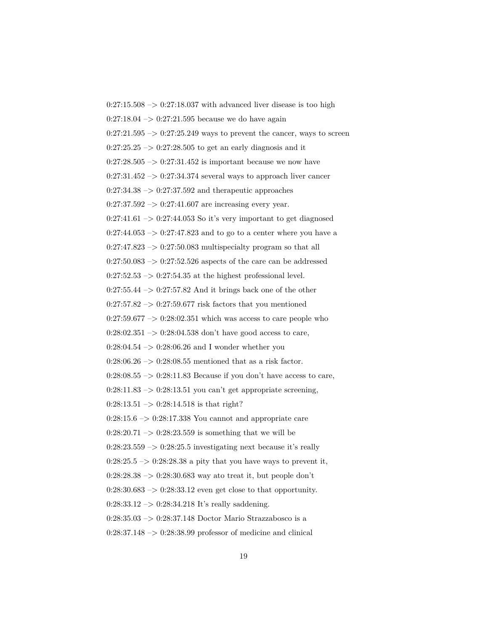$0:27:15.508 \rightarrow 0:27:18.037$  with advanced liver disease is too high  $0:27:18.04 \rightarrow 0:27:21.595$  because we do have again  $0:27:21.595 \rightarrow 0:27:25.249$  ways to prevent the cancer, ways to screen  $0:27:25.25 \rightarrow 0:27:28.505$  to get an early diagnosis and it  $0:27:28.505 \rightarrow 0:27:31.452$  is important because we now have  $0:27:31.452 \rightarrow 0:27:34.374$  several ways to approach liver cancer  $0:27:34.38 \rightarrow 0:27:37.592$  and therapeutic approaches  $0:27:37.592 \rightarrow 0:27:41.607$  are increasing every year.  $0:27:41.61 \rightarrow 0:27:44.053$  So it's very important to get diagnosed  $0:27:44.053 \rightarrow 0:27:47.823$  and to go to a center where you have a  $0:27:47.823 \rightarrow 0:27:50.083$  multispecialty program so that all  $0:27:50.083 \rightarrow 0:27:52.526$  aspects of the care can be addressed  $0:27:52.53 \rightarrow 0:27:54.35$  at the highest professional level.  $0:27:55.44 \rightarrow 0:27:57.82$  And it brings back one of the other  $0:27:57.82 \rightarrow 0:27:59.677$  risk factors that you mentioned  $0:27:59.677 \rightarrow 0:28:02.351$  which was access to care people who  $0:28:02.351 \rightarrow 0:28:04.538$  don't have good access to care,  $0:28:04.54 \rightarrow 0:28:06.26$  and I wonder whether you  $0:28:06.26 \rightarrow 0:28:08.55$  mentioned that as a risk factor.  $0:28:08.55 \rightarrow 0:28:11.83$  Because if you don't have access to care,  $0:28:11.83 \rightarrow 0:28:13.51$  you can't get appropriate screening,  $0:28:13.51 \rightarrow 0:28:14.518$  is that right?  $0:28:15.6 \rightarrow 0:28:17.338$  You cannot and appropriate care  $0:28:20.71 \rightarrow 0:28:23.559$  is something that we will be  $0:28:23.559 \rightarrow 0:28:25.5$  investigating next because it's really  $0:28:25.5 \rightarrow 0:28:28.38$  a pity that you have ways to prevent it,  $0:28:28.38 \rightarrow 0:28:30.683$  way ato treat it, but people don't  $0:28:30.683 \rightarrow 0:28:33.12$  even get close to that opportunity.  $0:28:33.12 \rightarrow 0:28:34.218$  It's really saddening. 0:28:35.03 –> 0:28:37.148 Doctor Mario Strazzabosco is a  $0:28:37.148 \rightarrow 0:28:38.99$  professor of medicine and clinical